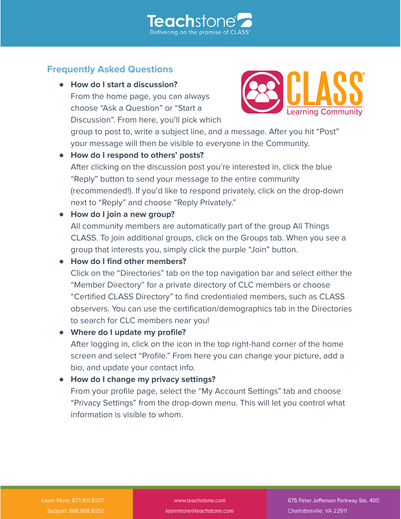

# **Frequently Asked Questions**

**● How do I start a discussion?** From the home page, you can always choose "Ask a Question" or "Start a Discussion". From here, you'll pick which



group to post to, write a subject line, and a message. After you hit "Post" your message will then be visible to everyone in the Community.

**● How do I respond to others' posts?** After clicking on the discussion post you're interested in, click the blue "Reply" button to send your message to the entire community (recommended!). If you'd like to respond privately, click on the drop-down next to "Reply" and choose "Reply Privately."

### **● How do I join a new group?**

All community members are automatically part of the group All Things CLASS. To join additional groups, click on the Groups tab. When you see a group that interests you, simply click the purple "Join" button.

### **● How do I find other members?**

Click on the "Directories" tab on the top navigation bar and select either the "Member Directory" for a private directory of CLC members or choose "Certified CLASS Directory" to find credentialed members, such as CLASS observers. You can use the certification/demographics tab in the Directories to search for CLC members near you!

#### **● Where do I update my profile?**

After logging in, click on the icon in the top right-hand corner of the home screen and select "Profile." From here you can change your picture, add a bio, and update your contact info.

#### **● How do I change my privacy settings?**

From your profile page, select the "My Account Settings" tab and choose "Privacy Settings" from the drop-down menu. This will let you control what information is visible to whom.

www.teachstone.com learnmore@teachstone.com